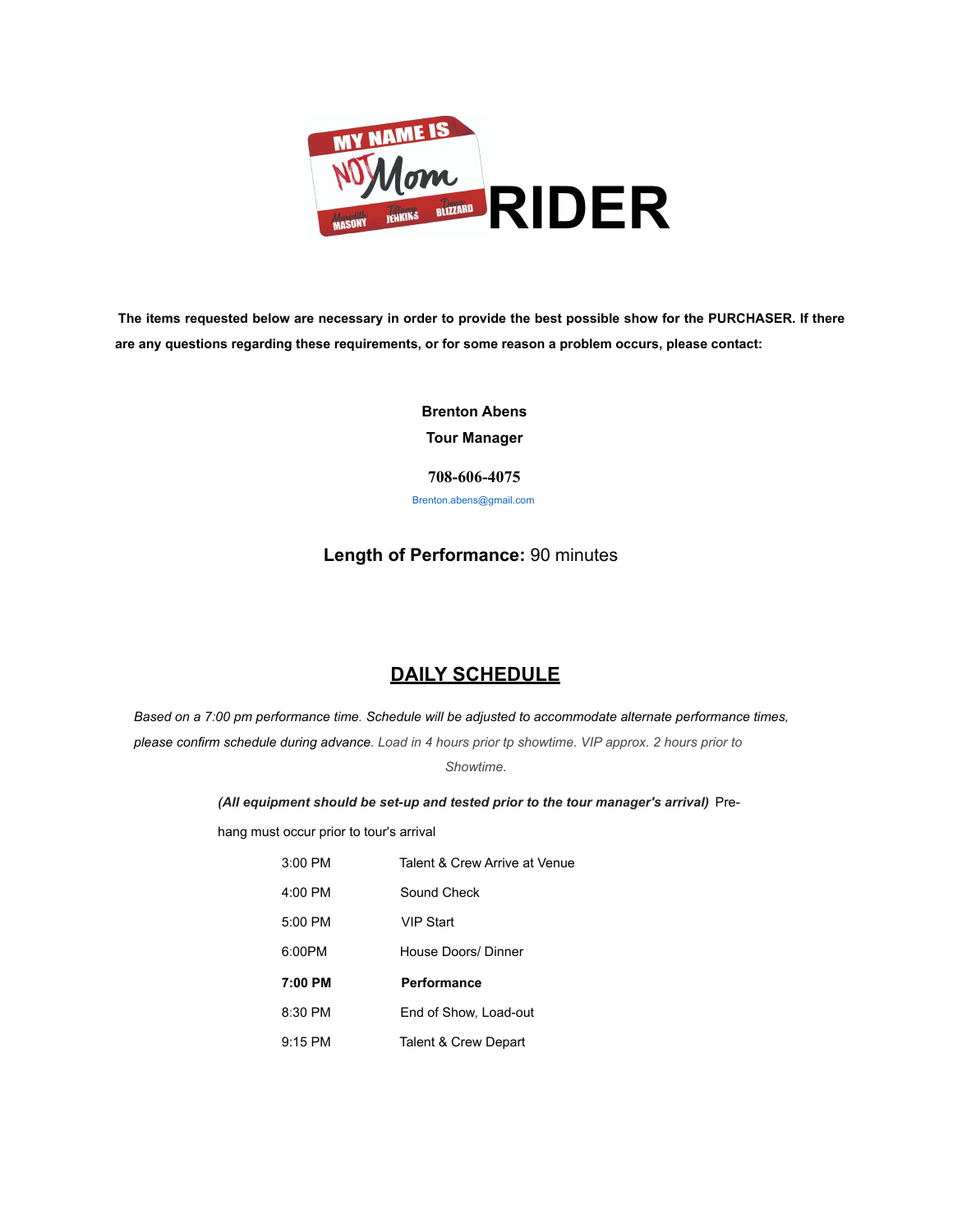

**The items requested below are necessary in order to provide the best possible show for the PURCHASER. If there are any questions regarding these requirements, or for some reason a problem occurs, please contact:**

> **Brenton Abens Tour Manager**

**708-606-4075** Brenton.abens@gmail.com

## **Length of Performance:** 90 minutes

# **DAILY SCHEDULE**

*Based on a 7:00 pm performance time. Schedule will be adjusted to accommodate alternate performance times, please confirm schedule during advance. Load in 4 hours prior tp showtime. VIP approx. 2 hours prior to Showtime.*

*(All equipment should be set-up and tested prior to the tour manager's arrival)* Pre-

hang must occur prior to tour's arrival

| $3:00$ PM | Talent & Crew Arrive at Venue |
|-----------|-------------------------------|
| 4:00 PM   | Sound Check                   |
| 5:00 PM   | <b>VIP Start</b>              |
| 6:00PM    | House Doors/ Dinner           |
|           |                               |
| 7:00 PM   | Performance                   |
| 8:30 PM   | End of Show, Load-out         |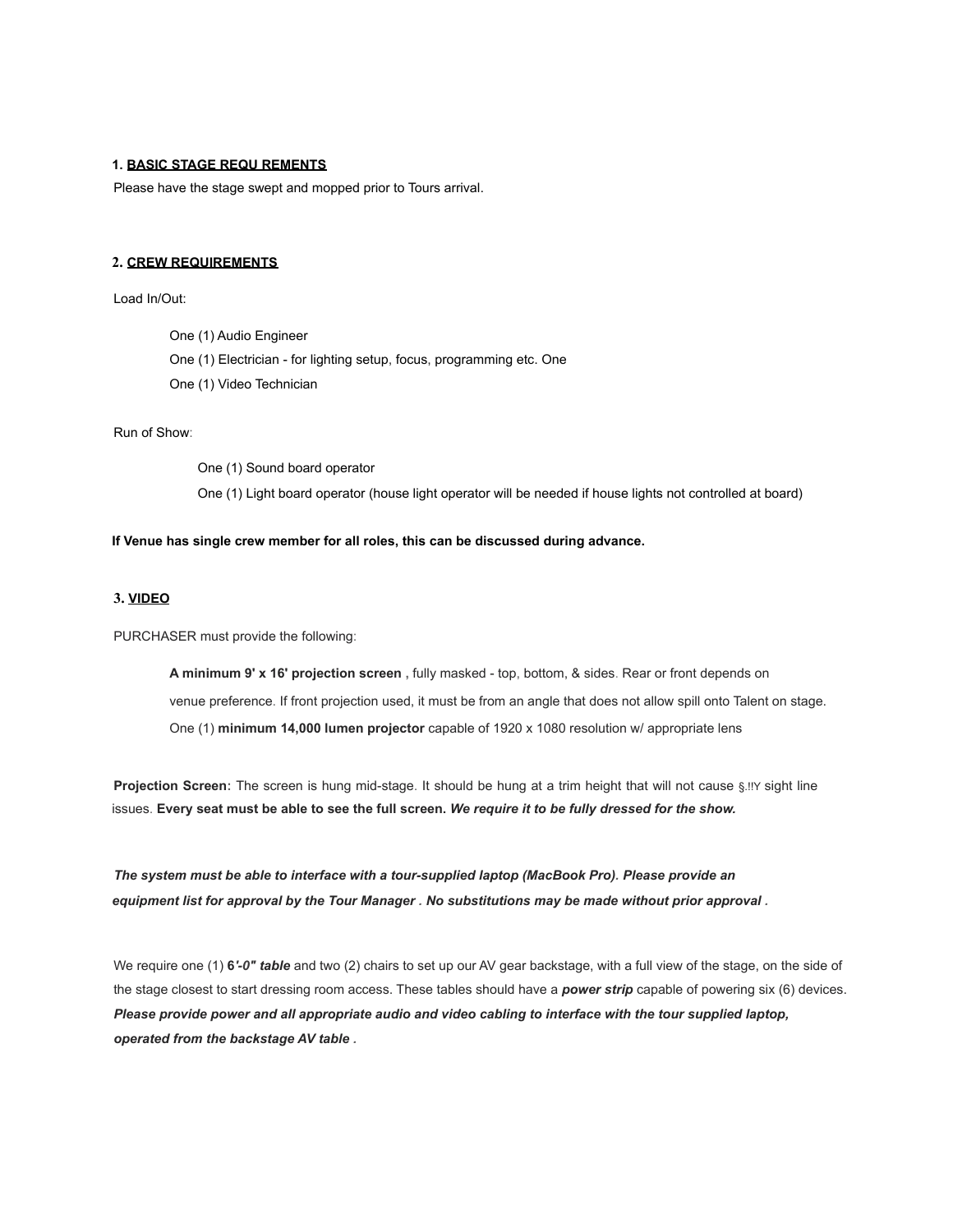### **1. BASIC STAGE REQU REMENTS**

Please have the stage swept and mopped prior to Tours arrival.

#### **2. CREW REQUIREMENTS**

Load In/Out:

One (1) Audio Engineer

One (1) Electrician - for lighting setup, focus, programming etc. One

One (1) Video Technician

## Run of Show:

One (1) Sound board operator One (1) Light board operator (house light operator will be needed if house lights not controlled at board)

#### **If Venue has single crew member for all roles, this can be discussed during advance.**

## **3. VIDEO**

PURCHASER must provide the following:

**A minimum 9' x 16' projection screen ,** fully masked - top, bottom, & sides. Rear or front depends on venue preference. If front projection used, it must be from an angle that does not allow spill onto Talent on stage. One (1) **minimum 14,000 lumen projector** capable of 1920 x 1080 resolution w/ appropriate lens

**Projection Screen:** The screen is hung mid-stage. It should be hung at a trim height that will not cause §.!!Y sight line issues. **Every seat must be able to see the full screen.** *We require it to be fully dressed for the show.*

*The system must be able to interface with a tour-supplied laptop (MacBook Pro). Please provide an equipment list for approval by the Tour Manager . No substitutions may be made without prior approval .*

We require one (1) **6***'-0" table* and two (2) chairs to set up our AV gear backstage, with a full view of the stage, on the side of the stage closest to start dressing room access. These tables should have a *power strip* capable of powering six (6) devices. *Please provide power and all appropriate audio and video cabling to interface with the tour supplied laptop, operated from the backstage AV table .*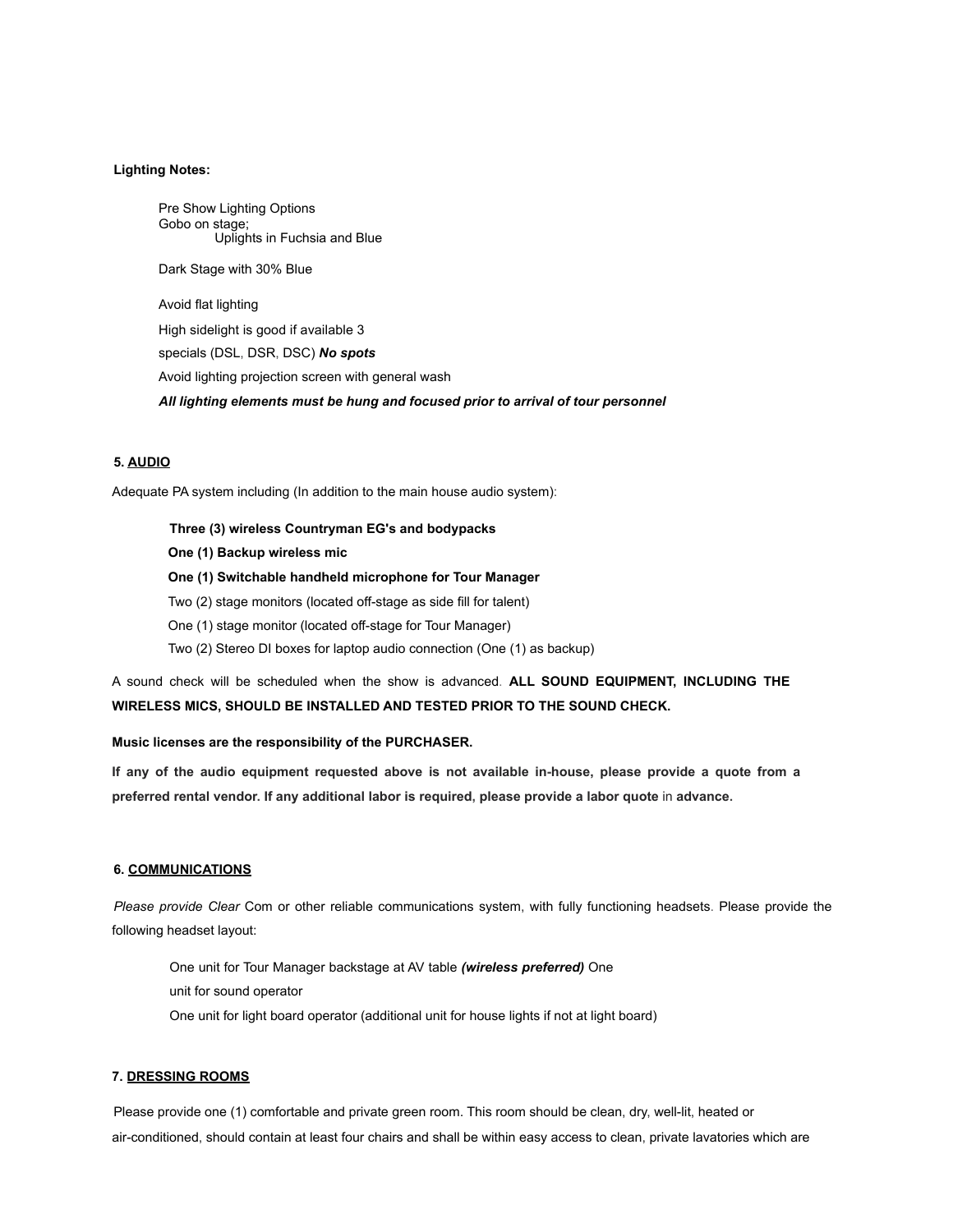### **Lighting Notes:**

Pre Show Lighting Options Gobo on stage; Uplights in Fuchsia and Blue Dark Stage with 30% Blue

Avoid flat lighting High sidelight is good if available 3 specials (DSL, DSR, DSC) *No spots* Avoid lighting projection screen with general wash *All lighting elements must be hung and focused prior to arrival of tour personnel*

## **5. AUDIO**

Adequate PA system including (In addition to the main house audio system):

**Three (3) wireless Countryman EG's and bodypacks**

**One (1) Backup wireless mic**

**One (1) Switchable handheld microphone for Tour Manager**

Two (2) stage monitors (located off-stage as side fill for talent)

One (1) stage monitor (located off-stage for Tour Manager)

Two (2) Stereo DI boxes for laptop audio connection (One (1) as backup)

A sound check will be scheduled when the show is advanced. **ALL SOUND EQUIPMENT, INCLUDING THE WIRELESS MICS, SHOULD BE INSTALLED AND TESTED PRIOR TO THE SOUND CHECK.**

### **Music licenses are the responsibility of the PURCHASER.**

**If any of the audio equipment requested above is not available in-house, please provide a quote from a preferred rental vendor. If any additional labor is required, please provide a labor quote** in **advance.**

#### **6. COMMUNICATIONS**

*Please provide Clear* Com or other reliable communications system, with fully functioning headsets. Please provide the following headset layout:

One unit for Tour Manager backstage at AV table *(wireless preferred)* One unit for sound operator

One unit for light board operator (additional unit for house lights if not at light board)

#### **7. DRESSING ROOMS**

Please provide one (1) comfortable and private green room. This room should be clean, dry, well-lit, heated or air-conditioned, should contain at least four chairs and shall be within easy access to clean, private lavatories which are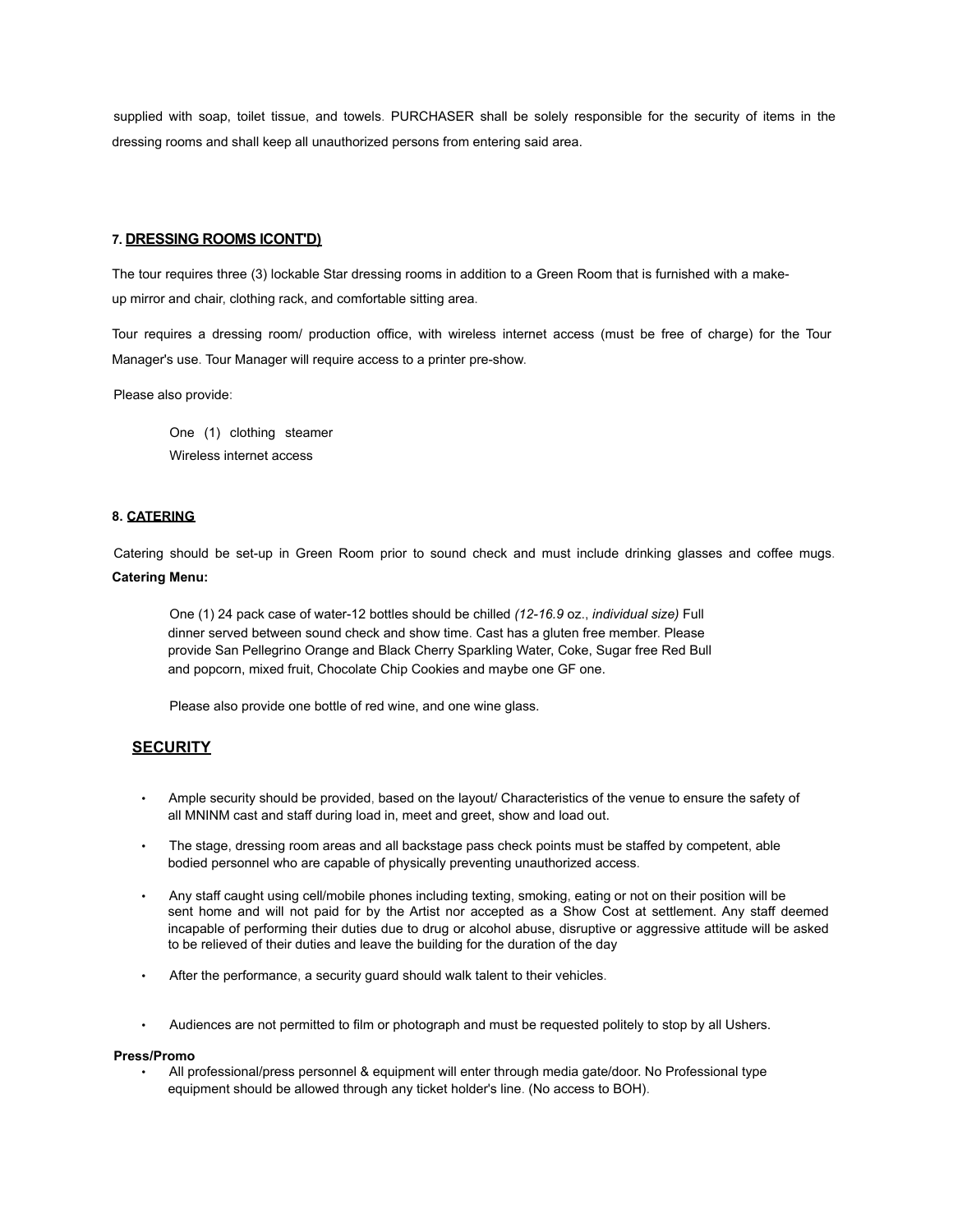supplied with soap, toilet tissue, and towels. PURCHASER shall be solely responsible for the security of items in the dressing rooms and shall keep all unauthorized persons from entering said area.

#### **7. DRESSING ROOMS lCONT'D)**

The tour requires three (3) lockable Star dressing rooms in addition to a Green Room that is furnished with a makeup mirror and chair, clothing rack, and comfortable sitting area.

Tour requires a dressing room/ production office, with wireless internet access (must be free of charge) for the Tour Manager's use. Tour Manager will require access to a printer pre-show.

Please also provide:

One (1) clothing steamer Wireless internet access

#### **8. CATERING**

Catering should be set-up in Green Room prior to sound check and must include drinking glasses and coffee mugs. **Catering Menu:**

One (1) 24 pack case of water-12 bottles should be chilled *(12-16.9* oz., *individual size)* Full dinner served between sound check and show time. Cast has a gluten free member. Please provide San Pellegrino Orange and Black Cherry Sparkling Water, Coke, Sugar free Red Bull and popcorn, mixed fruit, Chocolate Chip Cookies and maybe one GF one.

Please also provide one bottle of red wine, and one wine glass.

## **SECURITY**

- Ample security should be provided, based on the layout/ Characteristics of the venue to ensure the safety of all MNINM cast and staff during load in, meet and greet, show and load out.
- The stage, dressing room areas and all backstage pass check points must be staffed by competent, able bodied personnel who are capable of physically preventing unauthorized access.
- Any staff caught using cell/mobile phones including texting, smoking, eating or not on their position will be sent home and will not paid for by the Artist nor accepted as a Show Cost at settlement. Any staff deemed incapable of performing their duties due to drug or alcohol abuse, disruptive or aggressive attitude will be asked to be relieved of their duties and leave the building for the duration of the day
- After the performance, a security guard should walk talent to their vehicles.
- Audiences are not permitted to film or photograph and must be requested politely to stop by all Ushers.

#### **Press/Promo**

• All professional/press personnel & equipment will enter through media gate/door. No Professional type equipment should be allowed through any ticket holder's line. (No access to BOH).